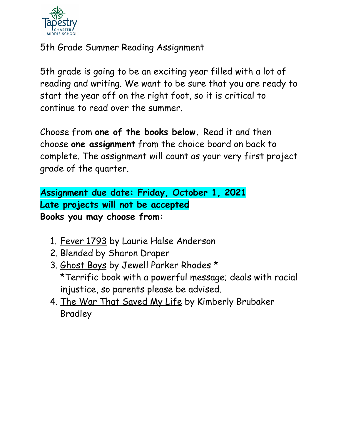

5th Grade Summer Reading Assignment

5th grade is going to be an exciting year filled with a lot of reading and writing. We want to be sure that you are ready to start the year off on the right foot, so it is critical to continue to read over the summer.

Choose from **one of the books below.** Read it and then choose **one assignment** from the choice board on back to complete. The assignment will count as your very first project grade of the quarter.

## **Assignment due date: Friday, October 1, 2021 Late projects will not be accepted Books you may choose from:**

- 1. Fever 1793 by Laurie Halse Anderson
- 2. Blended by Sharon Draper
- 3. Ghost Boys by Jewell Parker Rhodes \* \*Terrific book with a powerful message; deals with racial injustice, so parents please be advised.
- 4. The War That Saved My Life by Kimberly Brubaker Bradley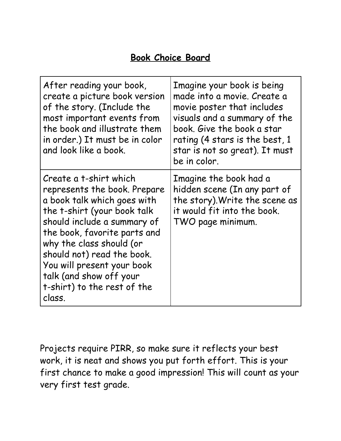## **Book Choice Board**

| After reading your book,<br>create a picture book version<br>of the story. (Include the<br>most important events from<br>the book and illustrate them<br>in order.) It must be in color<br>and look like a book.                                                                                                                                | Imagine your book is being<br>made into a movie. Create a<br>movie poster that includes<br>visuals and a summary of the<br>book. Give the book a star<br>rating (4 stars is the best, 1<br>star is not so great). It must<br>be in color. |
|-------------------------------------------------------------------------------------------------------------------------------------------------------------------------------------------------------------------------------------------------------------------------------------------------------------------------------------------------|-------------------------------------------------------------------------------------------------------------------------------------------------------------------------------------------------------------------------------------------|
| Create a t-shirt which<br>represents the book. Prepare<br>a book talk which goes with<br>the t-shirt (your book talk<br>should include a summary of<br>the book, favorite parts and<br>why the class should (or<br>should not) read the book.<br>You will present your book<br>talk (and show off your<br>t-shirt) to the rest of the<br>class. | Imagine the book had a<br>hidden scene (In any part of<br>the story). Write the scene as<br>it would fit into the book.<br>TWO page minimum.                                                                                              |

Projects require PIRR, so make sure it reflects your best work, it is neat and shows you put forth effort. This is your first chance to make a good impression! This will count as your very first test grade.